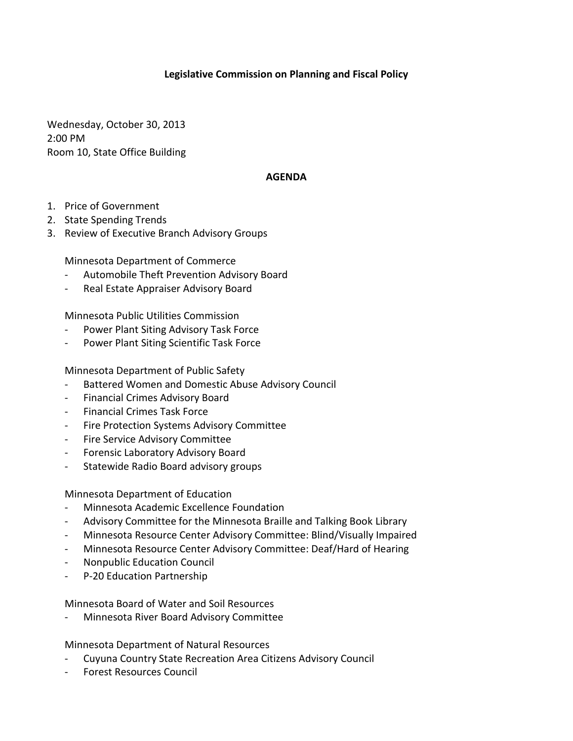## **Legislative Commission on Planning and Fiscal Policy**

Wednesday, October 30, 2013 2:00 PM Room 10, State Office Building

## **AGENDA**

- 1. Price of Government
- 2. State Spending Trends
- 3. Review of Executive Branch Advisory Groups

Minnesota Department of Commerce

- Automobile Theft Prevention Advisory Board
- Real Estate Appraiser Advisory Board

Minnesota Public Utilities Commission

- Power Plant Siting Advisory Task Force
- Power Plant Siting Scientific Task Force

Minnesota Department of Public Safety

- Battered Women and Domestic Abuse Advisory Council
- Financial Crimes Advisory Board
- Financial Crimes Task Force
- Fire Protection Systems Advisory Committee
- Fire Service Advisory Committee
- Forensic Laboratory Advisory Board
- Statewide Radio Board advisory groups

Minnesota Department of Education

- Minnesota Academic Excellence Foundation
- Advisory Committee for the Minnesota Braille and Talking Book Library
- Minnesota Resource Center Advisory Committee: Blind/Visually Impaired
- Minnesota Resource Center Advisory Committee: Deaf/Hard of Hearing
- Nonpublic Education Council
- P-20 Education Partnership

Minnesota Board of Water and Soil Resources

Minnesota River Board Advisory Committee

Minnesota Department of Natural Resources

- Cuyuna Country State Recreation Area Citizens Advisory Council
- Forest Resources Council